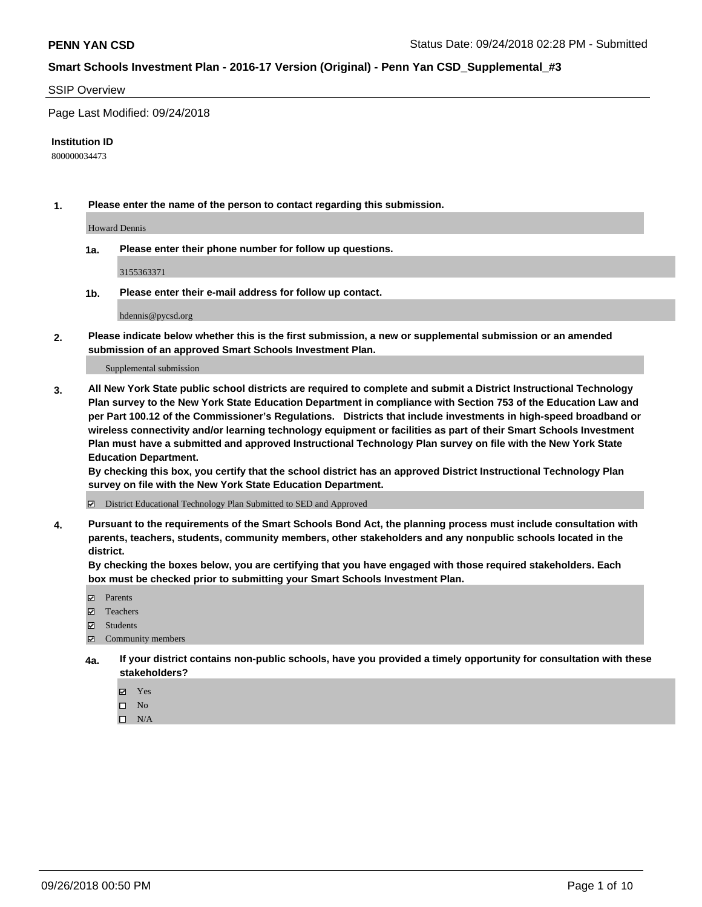#### SSIP Overview

Page Last Modified: 09/24/2018

#### **Institution ID**

800000034473

**1. Please enter the name of the person to contact regarding this submission.**

Howard Dennis

**1a. Please enter their phone number for follow up questions.**

3155363371

**1b. Please enter their e-mail address for follow up contact.**

hdennis@pycsd.org

**2. Please indicate below whether this is the first submission, a new or supplemental submission or an amended submission of an approved Smart Schools Investment Plan.**

Supplemental submission

**3. All New York State public school districts are required to complete and submit a District Instructional Technology Plan survey to the New York State Education Department in compliance with Section 753 of the Education Law and per Part 100.12 of the Commissioner's Regulations. Districts that include investments in high-speed broadband or wireless connectivity and/or learning technology equipment or facilities as part of their Smart Schools Investment Plan must have a submitted and approved Instructional Technology Plan survey on file with the New York State Education Department.** 

**By checking this box, you certify that the school district has an approved District Instructional Technology Plan survey on file with the New York State Education Department.**

District Educational Technology Plan Submitted to SED and Approved

**4. Pursuant to the requirements of the Smart Schools Bond Act, the planning process must include consultation with parents, teachers, students, community members, other stakeholders and any nonpublic schools located in the district.** 

**By checking the boxes below, you are certifying that you have engaged with those required stakeholders. Each box must be checked prior to submitting your Smart Schools Investment Plan.**

- **□** Parents
- Teachers
- Students
- $\boxtimes$  Community members
- **4a. If your district contains non-public schools, have you provided a timely opportunity for consultation with these stakeholders?**
	- Yes
	- $\qquad \qquad$  No
	- $\square$  N/A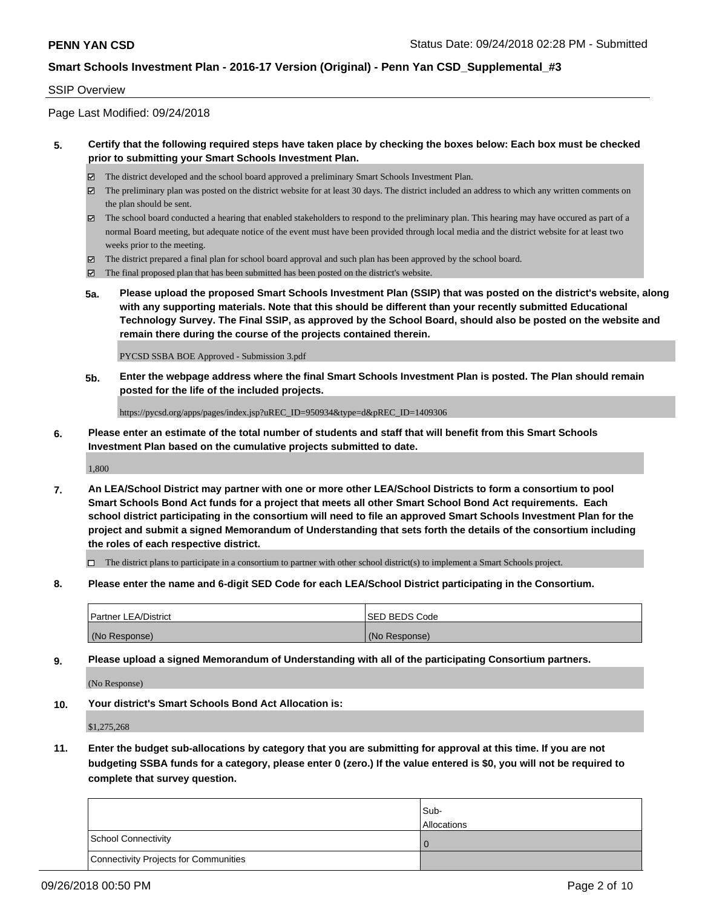#### SSIP Overview

Page Last Modified: 09/24/2018

### **5. Certify that the following required steps have taken place by checking the boxes below: Each box must be checked prior to submitting your Smart Schools Investment Plan.**

- The district developed and the school board approved a preliminary Smart Schools Investment Plan.
- $\boxtimes$  The preliminary plan was posted on the district website for at least 30 days. The district included an address to which any written comments on the plan should be sent.
- $\boxtimes$  The school board conducted a hearing that enabled stakeholders to respond to the preliminary plan. This hearing may have occured as part of a normal Board meeting, but adequate notice of the event must have been provided through local media and the district website for at least two weeks prior to the meeting.
- The district prepared a final plan for school board approval and such plan has been approved by the school board.
- $\boxtimes$  The final proposed plan that has been submitted has been posted on the district's website.
- **5a. Please upload the proposed Smart Schools Investment Plan (SSIP) that was posted on the district's website, along with any supporting materials. Note that this should be different than your recently submitted Educational Technology Survey. The Final SSIP, as approved by the School Board, should also be posted on the website and remain there during the course of the projects contained therein.**

PYCSD SSBA BOE Approved - Submission 3.pdf

**5b. Enter the webpage address where the final Smart Schools Investment Plan is posted. The Plan should remain posted for the life of the included projects.**

https://pycsd.org/apps/pages/index.jsp?uREC\_ID=950934&type=d&pREC\_ID=1409306

**6. Please enter an estimate of the total number of students and staff that will benefit from this Smart Schools Investment Plan based on the cumulative projects submitted to date.**

1,800

**7. An LEA/School District may partner with one or more other LEA/School Districts to form a consortium to pool Smart Schools Bond Act funds for a project that meets all other Smart School Bond Act requirements. Each school district participating in the consortium will need to file an approved Smart Schools Investment Plan for the project and submit a signed Memorandum of Understanding that sets forth the details of the consortium including the roles of each respective district.**

 $\Box$  The district plans to participate in a consortium to partner with other school district(s) to implement a Smart Schools project.

**8. Please enter the name and 6-digit SED Code for each LEA/School District participating in the Consortium.**

| <b>Partner LEA/District</b> | <b>ISED BEDS Code</b> |
|-----------------------------|-----------------------|
| (No Response)               | (No Response)         |

**9. Please upload a signed Memorandum of Understanding with all of the participating Consortium partners.**

(No Response)

**10. Your district's Smart Schools Bond Act Allocation is:**

\$1,275,268

**11. Enter the budget sub-allocations by category that you are submitting for approval at this time. If you are not budgeting SSBA funds for a category, please enter 0 (zero.) If the value entered is \$0, you will not be required to complete that survey question.**

|                                              | Sub-<br><b>Allocations</b> |
|----------------------------------------------|----------------------------|
| <b>School Connectivity</b>                   |                            |
| <b>Connectivity Projects for Communities</b> |                            |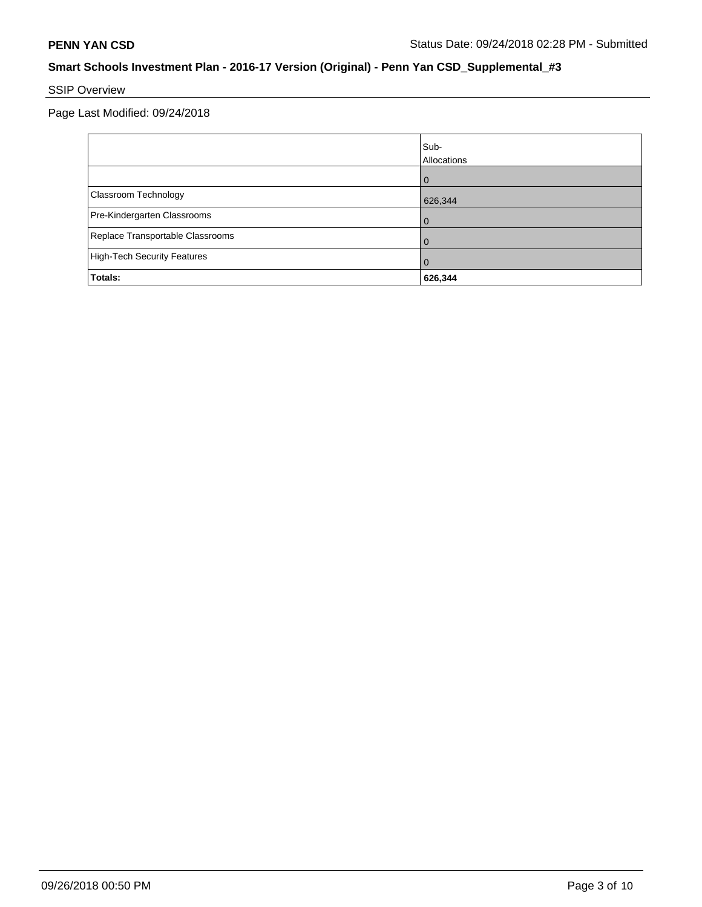# SSIP Overview

Page Last Modified: 09/24/2018

|                                    | Sub-<br>Allocations |
|------------------------------------|---------------------|
|                                    | $\Omega$            |
| Classroom Technology               | 626,344             |
| Pre-Kindergarten Classrooms        | 0                   |
| Replace Transportable Classrooms   | O                   |
| <b>High-Tech Security Features</b> | 0                   |
| Totals:                            | 626,344             |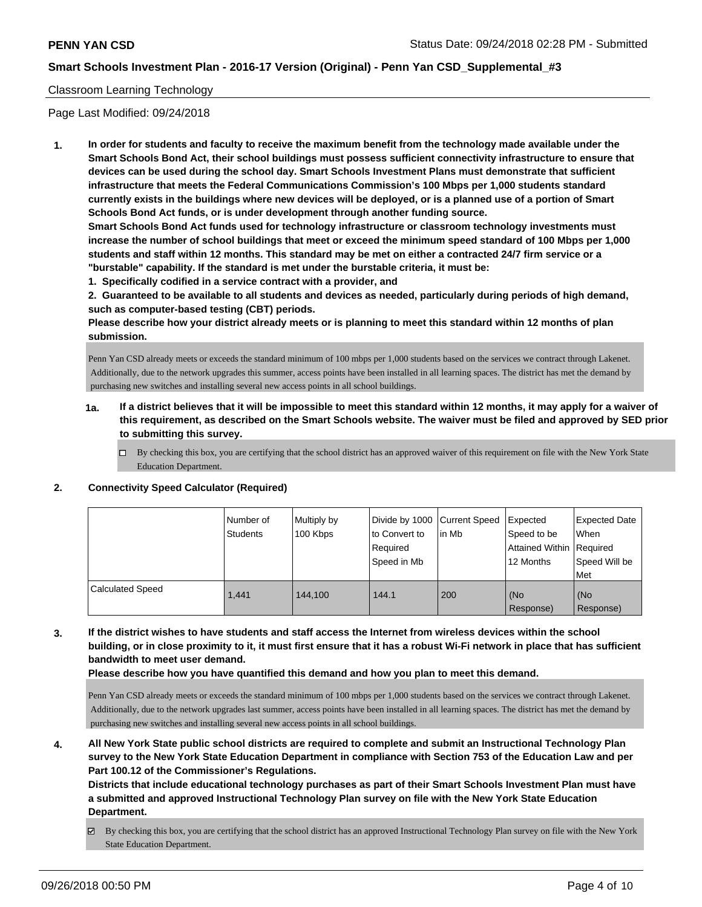### Classroom Learning Technology

Page Last Modified: 09/24/2018

**1. In order for students and faculty to receive the maximum benefit from the technology made available under the Smart Schools Bond Act, their school buildings must possess sufficient connectivity infrastructure to ensure that devices can be used during the school day. Smart Schools Investment Plans must demonstrate that sufficient infrastructure that meets the Federal Communications Commission's 100 Mbps per 1,000 students standard currently exists in the buildings where new devices will be deployed, or is a planned use of a portion of Smart Schools Bond Act funds, or is under development through another funding source.**

**Smart Schools Bond Act funds used for technology infrastructure or classroom technology investments must increase the number of school buildings that meet or exceed the minimum speed standard of 100 Mbps per 1,000 students and staff within 12 months. This standard may be met on either a contracted 24/7 firm service or a "burstable" capability. If the standard is met under the burstable criteria, it must be:**

**1. Specifically codified in a service contract with a provider, and**

**2. Guaranteed to be available to all students and devices as needed, particularly during periods of high demand, such as computer-based testing (CBT) periods.**

**Please describe how your district already meets or is planning to meet this standard within 12 months of plan submission.**

Penn Yan CSD already meets or exceeds the standard minimum of 100 mbps per 1,000 students based on the services we contract through Lakenet. Additionally, due to the network upgrades this summer, access points have been installed in all learning spaces. The district has met the demand by purchasing new switches and installing several new access points in all school buildings.

- **1a. If a district believes that it will be impossible to meet this standard within 12 months, it may apply for a waiver of this requirement, as described on the Smart Schools website. The waiver must be filed and approved by SED prior to submitting this survey.**
	- By checking this box, you are certifying that the school district has an approved waiver of this requirement on file with the New York State Education Department.

### **2. Connectivity Speed Calculator (Required)**

|                         | Number of<br>Students | Multiply by<br>100 Kbps | Divide by 1000 Current Speed<br>to Convert to<br>Reauired<br>Speed in Mb | l in Mb | Expected<br>Speed to be<br>Attained Within   Required<br>12 Months | <b>Expected Date</b><br>When<br>Speed Will be<br>Met |
|-------------------------|-----------------------|-------------------------|--------------------------------------------------------------------------|---------|--------------------------------------------------------------------|------------------------------------------------------|
| <b>Calculated Speed</b> | 1.441                 | 144.100                 | 144.1                                                                    | 200     | (No<br>Response)                                                   | (No<br>Response)                                     |

### **3. If the district wishes to have students and staff access the Internet from wireless devices within the school building, or in close proximity to it, it must first ensure that it has a robust Wi-Fi network in place that has sufficient bandwidth to meet user demand.**

**Please describe how you have quantified this demand and how you plan to meet this demand.**

Penn Yan CSD already meets or exceeds the standard minimum of 100 mbps per 1,000 students based on the services we contract through Lakenet. Additionally, due to the network upgrades last summer, access points have been installed in all learning spaces. The district has met the demand by purchasing new switches and installing several new access points in all school buildings.

**4. All New York State public school districts are required to complete and submit an Instructional Technology Plan survey to the New York State Education Department in compliance with Section 753 of the Education Law and per Part 100.12 of the Commissioner's Regulations.**

**Districts that include educational technology purchases as part of their Smart Schools Investment Plan must have a submitted and approved Instructional Technology Plan survey on file with the New York State Education Department.**

By checking this box, you are certifying that the school district has an approved Instructional Technology Plan survey on file with the New York State Education Department.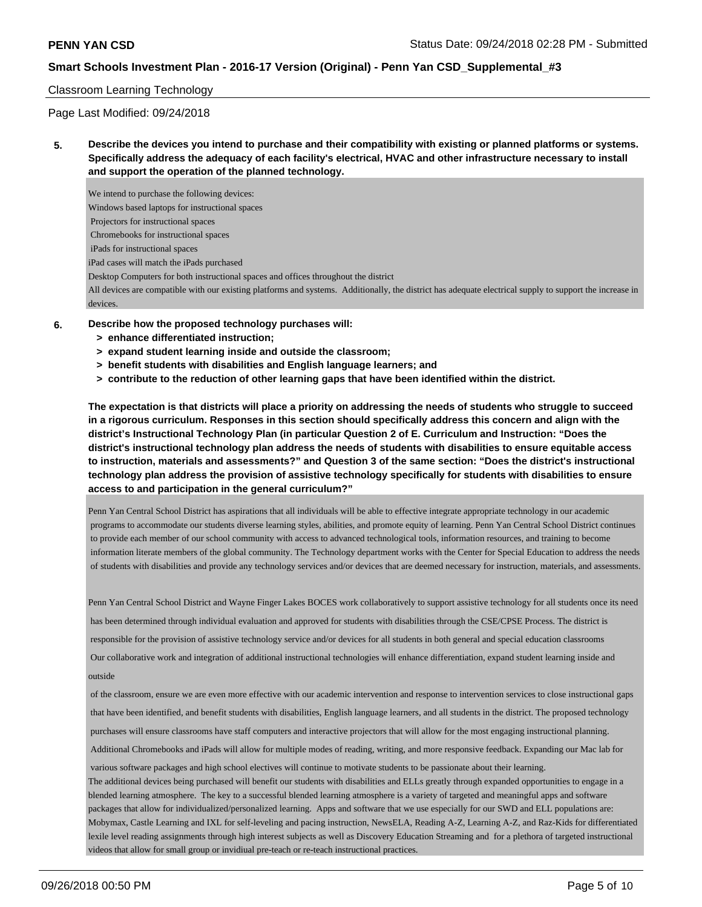#### Classroom Learning Technology

Page Last Modified: 09/24/2018

### **5. Describe the devices you intend to purchase and their compatibility with existing or planned platforms or systems. Specifically address the adequacy of each facility's electrical, HVAC and other infrastructure necessary to install and support the operation of the planned technology.**

We intend to purchase the following devices: Windows based laptops for instructional spaces Projectors for instructional spaces Chromebooks for instructional spaces iPads for instructional spaces iPad cases will match the iPads purchased Desktop Computers for both instructional spaces and offices throughout the district All devices are compatible with our existing platforms and systems. Additionally, the district has adequate electrical supply to support the increase in devices.

- **6. Describe how the proposed technology purchases will:**
	- **> enhance differentiated instruction;**
	- **> expand student learning inside and outside the classroom;**
	- **> benefit students with disabilities and English language learners; and**
	- **> contribute to the reduction of other learning gaps that have been identified within the district.**

**The expectation is that districts will place a priority on addressing the needs of students who struggle to succeed in a rigorous curriculum. Responses in this section should specifically address this concern and align with the district's Instructional Technology Plan (in particular Question 2 of E. Curriculum and Instruction: "Does the district's instructional technology plan address the needs of students with disabilities to ensure equitable access to instruction, materials and assessments?" and Question 3 of the same section: "Does the district's instructional technology plan address the provision of assistive technology specifically for students with disabilities to ensure access to and participation in the general curriculum?"**

Penn Yan Central School District has aspirations that all individuals will be able to effective integrate appropriate technology in our academic programs to accommodate our students diverse learning styles, abilities, and promote equity of learning. Penn Yan Central School District continues to provide each member of our school community with access to advanced technological tools, information resources, and training to become information literate members of the global community. The Technology department works with the Center for Special Education to address the needs of students with disabilities and provide any technology services and/or devices that are deemed necessary for instruction, materials, and assessments.

Penn Yan Central School District and Wayne Finger Lakes BOCES work collaboratively to support assistive technology for all students once its need has been determined through individual evaluation and approved for students with disabilities through the CSE/CPSE Process. The district is responsible for the provision of assistive technology service and/or devices for all students in both general and special education classrooms Our collaborative work and integration of additional instructional technologies will enhance differentiation, expand student learning inside and outside

 of the classroom, ensure we are even more effective with our academic intervention and response to intervention services to close instructional gaps that have been identified, and benefit students with disabilities, English language learners, and all students in the district. The proposed technology purchases will ensure classrooms have staff computers and interactive projectors that will allow for the most engaging instructional planning.

Additional Chromebooks and iPads will allow for multiple modes of reading, writing, and more responsive feedback. Expanding our Mac lab for

various software packages and high school electives will continue to motivate students to be passionate about their learning.

The additional devices being purchased will benefit our students with disabilities and ELLs greatly through expanded opportunities to engage in a blended learning atmosphere. The key to a successful blended learning atmosphere is a variety of targeted and meaningful apps and software packages that allow for individualized/personalized learning. Apps and software that we use especially for our SWD and ELL populations are: Mobymax, Castle Learning and IXL for self-leveling and pacing instruction, NewsELA, Reading A-Z, Learning A-Z, and Raz-Kids for differentiated lexile level reading assignments through high interest subjects as well as Discovery Education Streaming and for a plethora of targeted instructional videos that allow for small group or invidiual pre-teach or re-teach instructional practices.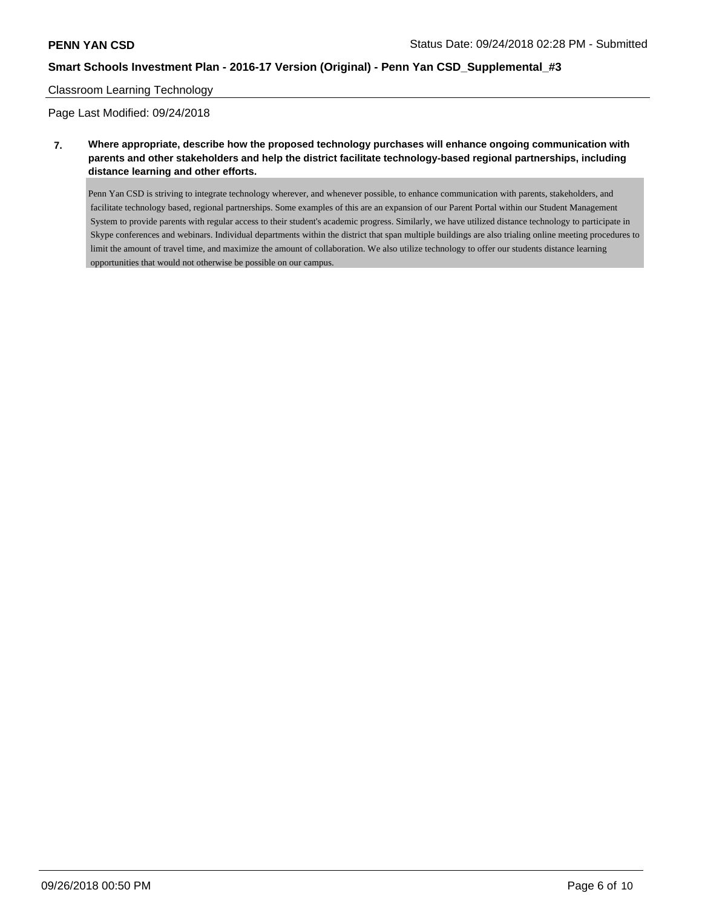#### Classroom Learning Technology

Page Last Modified: 09/24/2018

**7. Where appropriate, describe how the proposed technology purchases will enhance ongoing communication with parents and other stakeholders and help the district facilitate technology-based regional partnerships, including distance learning and other efforts.**

Penn Yan CSD is striving to integrate technology wherever, and whenever possible, to enhance communication with parents, stakeholders, and facilitate technology based, regional partnerships. Some examples of this are an expansion of our Parent Portal within our Student Management System to provide parents with regular access to their student's academic progress. Similarly, we have utilized distance technology to participate in Skype conferences and webinars. Individual departments within the district that span multiple buildings are also trialing online meeting procedures to limit the amount of travel time, and maximize the amount of collaboration. We also utilize technology to offer our students distance learning opportunities that would not otherwise be possible on our campus.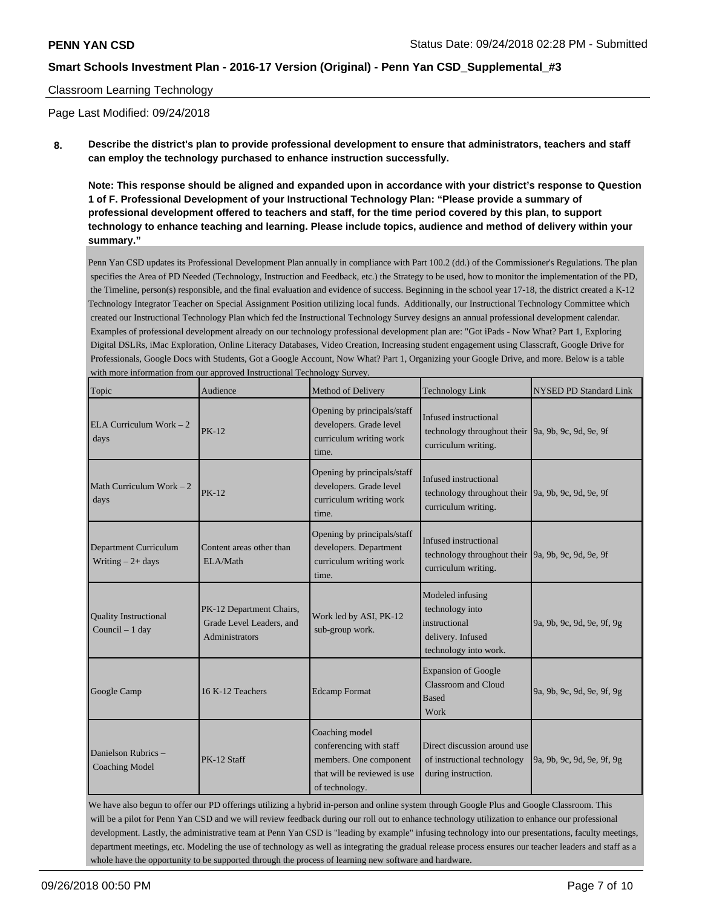#### Classroom Learning Technology

Page Last Modified: 09/24/2018

**8. Describe the district's plan to provide professional development to ensure that administrators, teachers and staff can employ the technology purchased to enhance instruction successfully.**

**Note: This response should be aligned and expanded upon in accordance with your district's response to Question 1 of F. Professional Development of your Instructional Technology Plan: "Please provide a summary of professional development offered to teachers and staff, for the time period covered by this plan, to support technology to enhance teaching and learning. Please include topics, audience and method of delivery within your summary."**

Penn Yan CSD updates its Professional Development Plan annually in compliance with Part 100.2 (dd.) of the Commissioner's Regulations. The plan specifies the Area of PD Needed (Technology, Instruction and Feedback, etc.) the Strategy to be used, how to monitor the implementation of the PD, the Timeline, person(s) responsible, and the final evaluation and evidence of success. Beginning in the school year 17-18, the district created a K-12 Technology Integrator Teacher on Special Assignment Position utilizing local funds. Additionally, our Instructional Technology Committee which created our Instructional Technology Plan which fed the Instructional Technology Survey designs an annual professional development calendar. Examples of professional development already on our technology professional development plan are: "Got iPads - Now What? Part 1, Exploring Digital DSLRs, iMac Exploration, Online Literacy Databases, Video Creation, Increasing student engagement using Classcraft, Google Drive for Professionals, Google Docs with Students, Got a Google Account, Now What? Part 1, Organizing your Google Drive, and more. Below is a table with more information from our approved Instructional Technology Survey.

| Topic                                                                                                                                                                  | when more imormation from our approved more denominated more, $\theta$ out $\theta$ .<br>Audience                     | Method of Delivery                                                                                                    | <b>Technology Link</b>                                                                                     | NYSED PD Standard Link     |  |
|------------------------------------------------------------------------------------------------------------------------------------------------------------------------|-----------------------------------------------------------------------------------------------------------------------|-----------------------------------------------------------------------------------------------------------------------|------------------------------------------------------------------------------------------------------------|----------------------------|--|
| ELA Curriculum Work $-2$<br>days                                                                                                                                       | <b>PK-12</b>                                                                                                          | Opening by principals/staff<br>developers. Grade level<br>curriculum writing work<br>time.                            | Infused instructional<br>technology throughout their 9a, 9b, 9c, 9d, 9e, 9f<br>curriculum writing.         |                            |  |
| Math Curriculum Work $-2$<br>days                                                                                                                                      | <b>PK-12</b>                                                                                                          | Opening by principals/staff<br>developers. Grade level<br>curriculum writing work<br>time.                            | Infused instructional<br>technology throughout their 9a, 9b, 9c, 9d, 9e, 9f<br>curriculum writing.         |                            |  |
| Department Curriculum<br>Writing $-2+$ days                                                                                                                            | Content areas other than<br>ELA/Math                                                                                  | Opening by principals/staff<br>developers. Department<br>curriculum writing work<br>time.                             | Infused instructional<br>technology throughout their $\vert$ 9a, 9b, 9c, 9d, 9e, 9f<br>curriculum writing. |                            |  |
| PK-12 Department Chairs,<br><b>Quality Instructional</b><br>Work led by ASI, PK-12<br>Grade Level Leaders, and<br>Council - 1 day<br>sub-group work.<br>Administrators |                                                                                                                       | Modeled infusing<br>technology into<br>instructional<br>delivery. Infused<br>technology into work.                    | 9a, 9b, 9c, 9d, 9e, 9f, 9g                                                                                 |                            |  |
| Google Camp                                                                                                                                                            | <b>Expansion of Google</b><br>Classroom and Cloud<br>16 K-12 Teachers<br><b>Edcamp Format</b><br><b>Based</b><br>Work |                                                                                                                       |                                                                                                            | 9a, 9b, 9c, 9d, 9e, 9f, 9g |  |
| Danielson Rubrics -<br>PK-12 Staff<br><b>Coaching Model</b>                                                                                                            |                                                                                                                       | Coaching model<br>conferencing with staff<br>members. One component<br>that will be reviewed is use<br>of technology. | Direct discussion around use<br>of instructional technology<br>during instruction.                         | 9a, 9b, 9c, 9d, 9e, 9f, 9g |  |

We have also begun to offer our PD offerings utilizing a hybrid in-person and online system through Google Plus and Google Classroom. This will be a pilot for Penn Yan CSD and we will review feedback during our roll out to enhance technology utilization to enhance our professional development. Lastly, the administrative team at Penn Yan CSD is "leading by example" infusing technology into our presentations, faculty meetings, department meetings, etc. Modeling the use of technology as well as integrating the gradual release process ensures our teacher leaders and staff as a whole have the opportunity to be supported through the process of learning new software and hardware.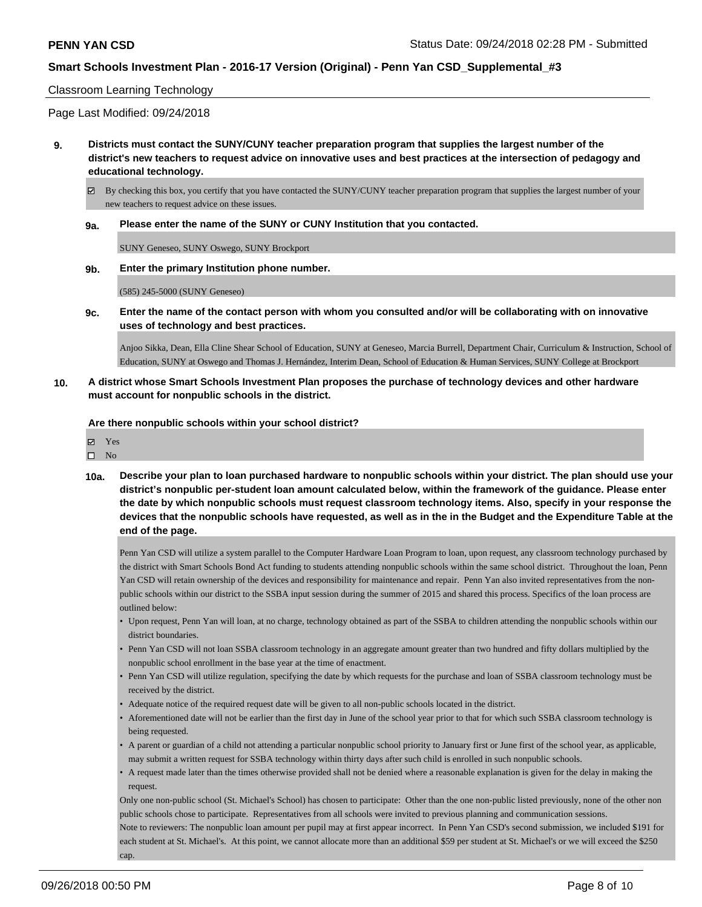#### Classroom Learning Technology

Page Last Modified: 09/24/2018

- **9. Districts must contact the SUNY/CUNY teacher preparation program that supplies the largest number of the district's new teachers to request advice on innovative uses and best practices at the intersection of pedagogy and educational technology.**
	- $\boxtimes$  By checking this box, you certify that you have contacted the SUNY/CUNY teacher preparation program that supplies the largest number of your new teachers to request advice on these issues.
	- **9a. Please enter the name of the SUNY or CUNY Institution that you contacted.**

SUNY Geneseo, SUNY Oswego, SUNY Brockport

**9b. Enter the primary Institution phone number.**

(585) 245-5000 (SUNY Geneseo)

**9c. Enter the name of the contact person with whom you consulted and/or will be collaborating with on innovative uses of technology and best practices.**

Anjoo Sikka, Dean, Ella Cline Shear School of Education, SUNY at Geneseo, Marcia Burrell, Department Chair, Curriculum & Instruction, School of Education, SUNY at Oswego and Thomas J. Hernández, Interim Dean, School of Education & Human Services, SUNY College at Brockport

**10. A district whose Smart Schools Investment Plan proposes the purchase of technology devices and other hardware must account for nonpublic schools in the district.**

**Are there nonpublic schools within your school district?**

| 罓 | Yes |
|---|-----|
| П | Nο  |

**10a. Describe your plan to loan purchased hardware to nonpublic schools within your district. The plan should use your district's nonpublic per-student loan amount calculated below, within the framework of the guidance. Please enter the date by which nonpublic schools must request classroom technology items. Also, specify in your response the devices that the nonpublic schools have requested, as well as in the in the Budget and the Expenditure Table at the end of the page.**

Penn Yan CSD will utilize a system parallel to the Computer Hardware Loan Program to loan, upon request, any classroom technology purchased by the district with Smart Schools Bond Act funding to students attending nonpublic schools within the same school district. Throughout the loan, Penn Yan CSD will retain ownership of the devices and responsibility for maintenance and repair. Penn Yan also invited representatives from the nonpublic schools within our district to the SSBA input session during the summer of 2015 and shared this process. Specifics of the loan process are outlined below:

- Upon request, Penn Yan will loan, at no charge, technology obtained as part of the SSBA to children attending the nonpublic schools within our district boundaries.
- Penn Yan CSD will not loan SSBA classroom technology in an aggregate amount greater than two hundred and fifty dollars multiplied by the nonpublic school enrollment in the base year at the time of enactment.
- Penn Yan CSD will utilize regulation, specifying the date by which requests for the purchase and loan of SSBA classroom technology must be received by the district.
- Adequate notice of the required request date will be given to all non-public schools located in the district.
- Aforementioned date will not be earlier than the first day in June of the school year prior to that for which such SSBA classroom technology is being requested.
- A parent or guardian of a child not attending a particular nonpublic school priority to January first or June first of the school year, as applicable, may submit a written request for SSBA technology within thirty days after such child is enrolled in such nonpublic schools.
- A request made later than the times otherwise provided shall not be denied where a reasonable explanation is given for the delay in making the request.

Only one non-public school (St. Michael's School) has chosen to participate: Other than the one non-public listed previously, none of the other non public schools chose to participate. Representatives from all schools were invited to previous planning and communication sessions. Note to reviewers: The nonpublic loan amount per pupil may at first appear incorrect. In Penn Yan CSD's second submission, we included \$191 for each student at St. Michael's. At this point, we cannot allocate more than an additional \$59 per student at St. Michael's or we will exceed the \$250 cap.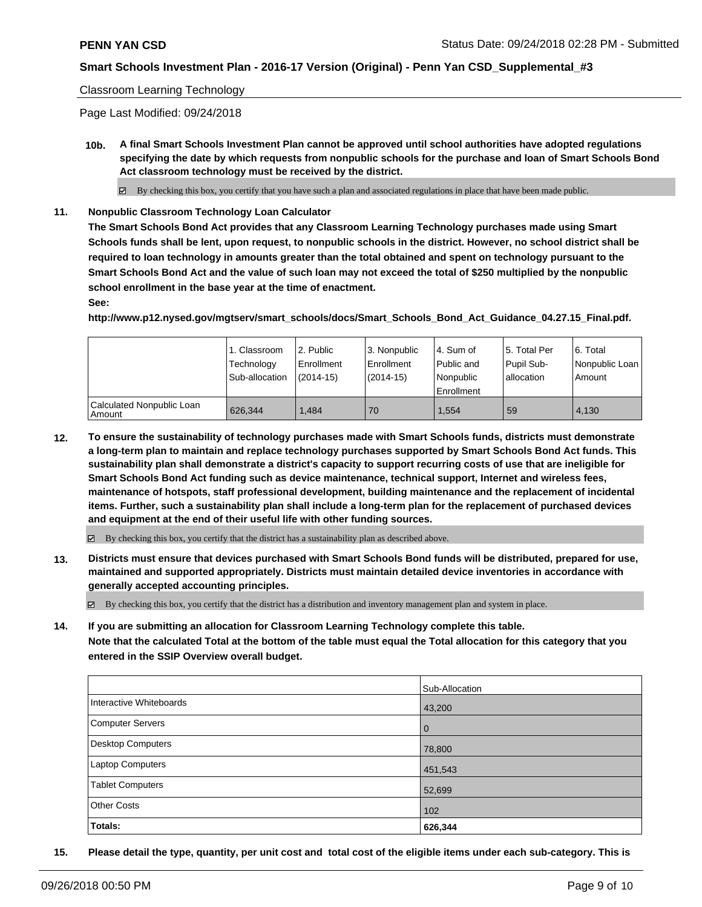#### Classroom Learning Technology

Page Last Modified: 09/24/2018

**10b. A final Smart Schools Investment Plan cannot be approved until school authorities have adopted regulations specifying the date by which requests from nonpublic schools for the purchase and loan of Smart Schools Bond Act classroom technology must be received by the district.**

 $\boxtimes$  By checking this box, you certify that you have such a plan and associated regulations in place that have been made public.

**11. Nonpublic Classroom Technology Loan Calculator**

**The Smart Schools Bond Act provides that any Classroom Learning Technology purchases made using Smart Schools funds shall be lent, upon request, to nonpublic schools in the district. However, no school district shall be required to loan technology in amounts greater than the total obtained and spent on technology pursuant to the Smart Schools Bond Act and the value of such loan may not exceed the total of \$250 multiplied by the nonpublic school enrollment in the base year at the time of enactment.**

**See:**

**http://www.p12.nysed.gov/mgtserv/smart\_schools/docs/Smart\_Schools\_Bond\_Act\_Guidance\_04.27.15\_Final.pdf.**

|                                       | 1. Classroom<br>Technology<br>Sub-allocation | 2. Public<br>Enrollment<br>$(2014-15)$ | <sup>1</sup> 3. Nonpublic<br>Enrollment<br>$(2014-15)$ | l 4. Sum of<br>Public and<br>l Nonpublic<br>Enrollment | 15. Total Per<br>Pupil Sub-<br>lallocation | l 6. Total<br>Nonpublic Loan<br>Amount |
|---------------------------------------|----------------------------------------------|----------------------------------------|--------------------------------------------------------|--------------------------------------------------------|--------------------------------------------|----------------------------------------|
| Calculated Nonpublic Loan<br>  Amount | 626.344                                      | .484                                   | 70                                                     | 1.554                                                  | 59                                         | 4.130                                  |

**12. To ensure the sustainability of technology purchases made with Smart Schools funds, districts must demonstrate a long-term plan to maintain and replace technology purchases supported by Smart Schools Bond Act funds. This sustainability plan shall demonstrate a district's capacity to support recurring costs of use that are ineligible for Smart Schools Bond Act funding such as device maintenance, technical support, Internet and wireless fees, maintenance of hotspots, staff professional development, building maintenance and the replacement of incidental items. Further, such a sustainability plan shall include a long-term plan for the replacement of purchased devices and equipment at the end of their useful life with other funding sources.**

 $\boxtimes$  By checking this box, you certify that the district has a sustainability plan as described above.

**13. Districts must ensure that devices purchased with Smart Schools Bond funds will be distributed, prepared for use, maintained and supported appropriately. Districts must maintain detailed device inventories in accordance with generally accepted accounting principles.**

By checking this box, you certify that the district has a distribution and inventory management plan and system in place.

**14. If you are submitting an allocation for Classroom Learning Technology complete this table.**

**Note that the calculated Total at the bottom of the table must equal the Total allocation for this category that you entered in the SSIP Overview overall budget.**

|                         | Sub-Allocation |
|-------------------------|----------------|
| Interactive Whiteboards | 43,200         |
| Computer Servers        | <b>0</b>       |
| Desktop Computers       | 78,800         |
| <b>Laptop Computers</b> | 451,543        |
| <b>Tablet Computers</b> | 52,699         |
| <b>Other Costs</b>      | 102            |
| Totals:                 | 626,344        |

**15. Please detail the type, quantity, per unit cost and total cost of the eligible items under each sub-category. This is**